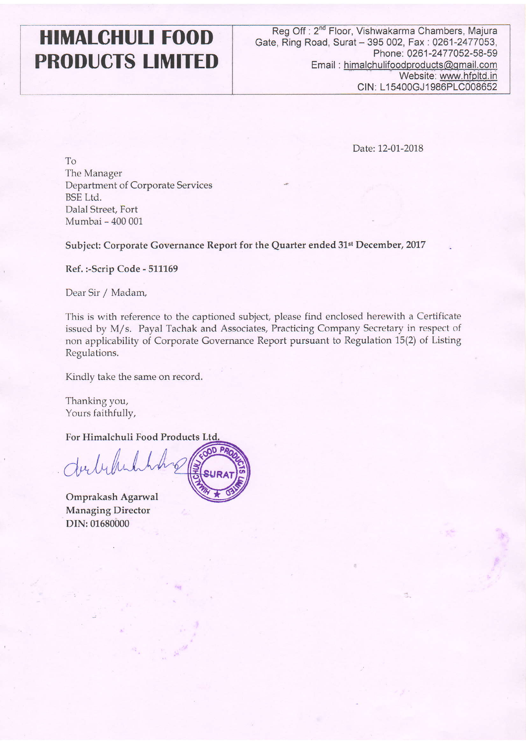# HIMALCHULI FOOD PRODUCTS LIMITED

Date:12-01-2018

To The Manager Department of Corporate Service BSE Ltd. Dalal Street, Fort Mumbai - 400 001

Subject: Corporate Governance Report for the Quarter ended 31<sup>st</sup> December, 2017

Ref.:-Scrip Code - 511169

Dear Sir / Madam,

This is with reference to the captioned subject, please find enclosed herewith a Certificate issued by M/s. Payal Tachak and Associates, Practicing Company Secretary in respect of non applicability of Corporate Govemance Report pursuant to Regulation 15(2) of Listing Regulations.

Kindly take the same on record.

Thanking you, Yours faithfully,

For Himalchuli Food Products

Julyhi

Omprakash Agarwal Managing Director DIN:01680000